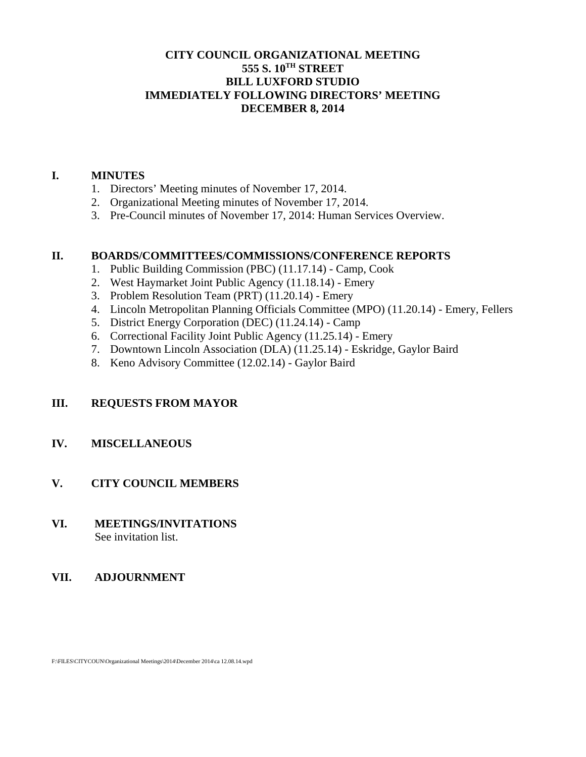# **CITY COUNCIL ORGANIZATIONAL MEETING 555 S. 10TH STREET BILL LUXFORD STUDIO IMMEDIATELY FOLLOWING DIRECTORS' MEETING DECEMBER 8, 2014**

## **I. MINUTES**

- 1. Directors' Meeting minutes of November 17, 2014.
- 2. Organizational Meeting minutes of November 17, 2014.
- 3. Pre-Council minutes of November 17, 2014: Human Services Overview.

## **II. BOARDS/COMMITTEES/COMMISSIONS/CONFERENCE REPORTS**

- 1. Public Building Commission (PBC) (11.17.14) Camp, Cook
- 2. West Haymarket Joint Public Agency (11.18.14) Emery
- 3. Problem Resolution Team (PRT) (11.20.14) Emery
- 4. Lincoln Metropolitan Planning Officials Committee (MPO) (11.20.14) Emery, Fellers
- 5. District Energy Corporation (DEC) (11.24.14) Camp
- 6. Correctional Facility Joint Public Agency (11.25.14) Emery
- 7. Downtown Lincoln Association (DLA) (11.25.14) Eskridge, Gaylor Baird
- 8. Keno Advisory Committee (12.02.14) Gaylor Baird

# **III. REQUESTS FROM MAYOR**

## **IV. MISCELLANEOUS**

## **V. CITY COUNCIL MEMBERS**

# **VI. MEETINGS/INVITATIONS** See invitation list.

## **VII. ADJOURNMENT**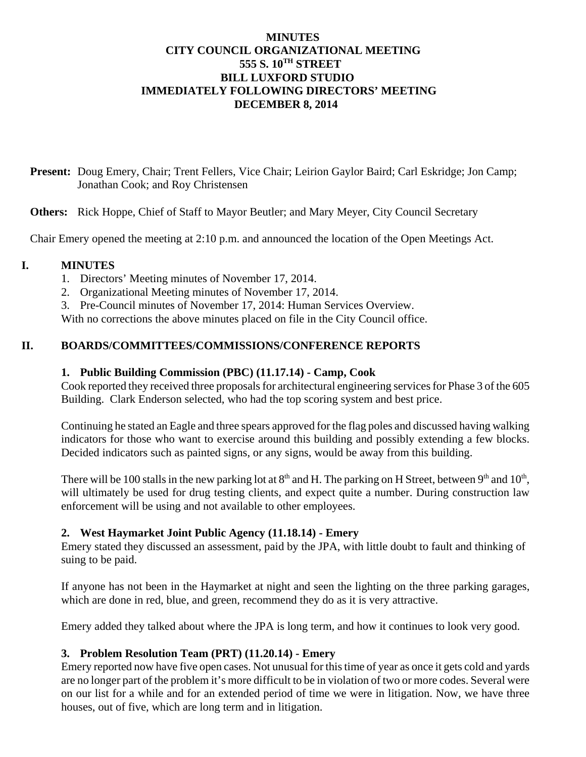# **MINUTES CITY COUNCIL ORGANIZATIONAL MEETING 555 S. 10TH STREET BILL LUXFORD STUDIO IMMEDIATELY FOLLOWING DIRECTORS' MEETING DECEMBER 8, 2014**

**Present:** Doug Emery, Chair; Trent Fellers, Vice Chair; Leirion Gaylor Baird; Carl Eskridge; Jon Camp; Jonathan Cook; and Roy Christensen

**Others:** Rick Hoppe, Chief of Staff to Mayor Beutler; and Mary Meyer, City Council Secretary

Chair Emery opened the meeting at 2:10 p.m. and announced the location of the Open Meetings Act.

# **I. MINUTES**

- 1. Directors' Meeting minutes of November 17, 2014.
- 2. Organizational Meeting minutes of November 17, 2014.
- 3. Pre-Council minutes of November 17, 2014: Human Services Overview.

With no corrections the above minutes placed on file in the City Council office.

# **II. BOARDS/COMMITTEES/COMMISSIONS/CONFERENCE REPORTS**

## **1. Public Building Commission (PBC) (11.17.14) - Camp, Cook**

Cook reported they received three proposals for architectural engineering services for Phase 3 of the 605 Building. Clark Enderson selected, who had the top scoring system and best price.

Continuing he stated an Eagle and three spears approved for the flag poles and discussed having walking indicators for those who want to exercise around this building and possibly extending a few blocks. Decided indicators such as painted signs, or any signs, would be away from this building.

There will be 100 stalls in the new parking lot at  $8<sup>th</sup>$  and H. The parking on H Street, between  $9<sup>th</sup>$  and  $10<sup>th</sup>$ , will ultimately be used for drug testing clients, and expect quite a number. During construction law enforcement will be using and not available to other employees.

## **2. West Haymarket Joint Public Agency (11.18.14) - Emery**

Emery stated they discussed an assessment, paid by the JPA, with little doubt to fault and thinking of suing to be paid.

If anyone has not been in the Haymarket at night and seen the lighting on the three parking garages, which are done in red, blue, and green, recommend they do as it is very attractive.

Emery added they talked about where the JPA is long term, and how it continues to look very good.

## **3. Problem Resolution Team (PRT) (11.20.14) - Emery**

Emery reported now have five open cases. Not unusual for this time of year as once it gets cold and yards are no longer part of the problem it's more difficult to be in violation of two or more codes. Several were on our list for a while and for an extended period of time we were in litigation. Now, we have three houses, out of five, which are long term and in litigation.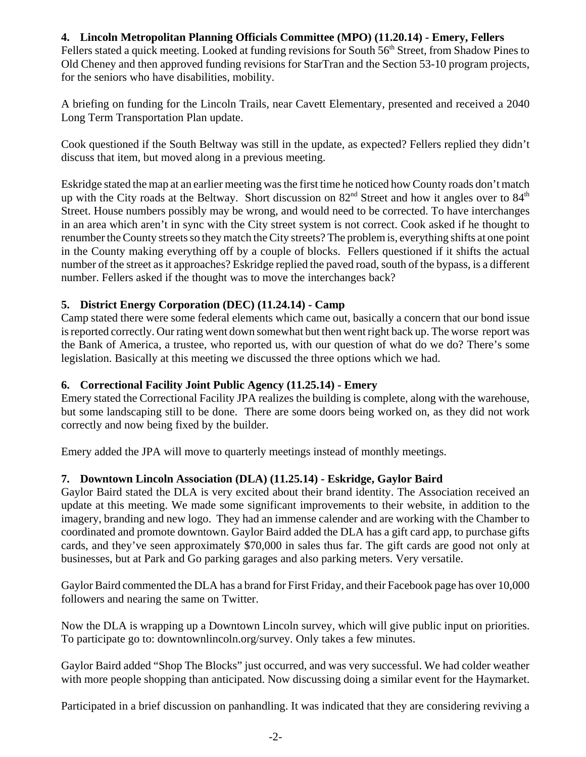# **4. Lincoln Metropolitan Planning Officials Committee (MPO) (11.20.14) - Emery, Fellers**

Fellers stated a quick meeting. Looked at funding revisions for South 56<sup>th</sup> Street, from Shadow Pines to Old Cheney and then approved funding revisions for StarTran and the Section 53-10 program projects, for the seniors who have disabilities, mobility.

A briefing on funding for the Lincoln Trails, near Cavett Elementary, presented and received a 2040 Long Term Transportation Plan update.

Cook questioned if the South Beltway was still in the update, as expected? Fellers replied they didn't discuss that item, but moved along in a previous meeting.

Eskridge stated the map at an earlier meeting was the first time he noticed how County roads don't match up with the City roads at the Beltway. Short discussion on  $82<sup>nd</sup>$  Street and how it angles over to  $84<sup>th</sup>$ Street. House numbers possibly may be wrong, and would need to be corrected. To have interchanges in an area which aren't in sync with the City street system is not correct. Cook asked if he thought to renumber the County streets so they match the City streets? The problem is, everything shifts at one point in the County making everything off by a couple of blocks. Fellers questioned if it shifts the actual number of the street as it approaches? Eskridge replied the paved road, south of the bypass, is a different number. Fellers asked if the thought was to move the interchanges back?

# **5. District Energy Corporation (DEC) (11.24.14) - Camp**

Camp stated there were some federal elements which came out, basically a concern that our bond issue is reported correctly. Our rating went down somewhat but then went right back up. The worse report was the Bank of America, a trustee, who reported us, with our question of what do we do? There's some legislation. Basically at this meeting we discussed the three options which we had.

# **6. Correctional Facility Joint Public Agency (11.25.14) - Emery**

Emery stated the Correctional Facility JPA realizes the building is complete, along with the warehouse, but some landscaping still to be done. There are some doors being worked on, as they did not work correctly and now being fixed by the builder.

Emery added the JPA will move to quarterly meetings instead of monthly meetings.

# **7. Downtown Lincoln Association (DLA) (11.25.14) - Eskridge, Gaylor Baird**

Gaylor Baird stated the DLA is very excited about their brand identity. The Association received an update at this meeting. We made some significant improvements to their website, in addition to the imagery, branding and new logo. They had an immense calender and are working with the Chamber to coordinated and promote downtown. Gaylor Baird added the DLA has a gift card app, to purchase gifts cards, and they've seen approximately \$70,000 in sales thus far. The gift cards are good not only at businesses, but at Park and Go parking garages and also parking meters. Very versatile.

Gaylor Baird commented the DLA has a brand for First Friday, and their Facebook page has over 10,000 followers and nearing the same on Twitter.

Now the DLA is wrapping up a Downtown Lincoln survey, which will give public input on priorities. To participate go to: downtownlincoln.org/survey. Only takes a few minutes.

Gaylor Baird added "Shop The Blocks" just occurred, and was very successful. We had colder weather with more people shopping than anticipated. Now discussing doing a similar event for the Haymarket.

Participated in a brief discussion on panhandling. It was indicated that they are considering reviving a